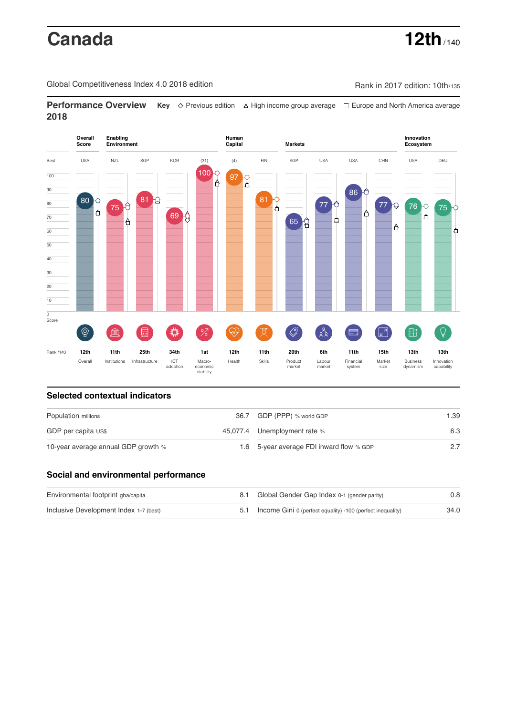# **Canada 12th** / 140

Global Competitiveness Index 4.0 2018 edition Company Rank in 2017 edition: 10th/135

**Performance Overview** Key  $\Diamond$  Previous edition ∆ High income group average  $\Box$  Europe and North America average **2018**



## **Selected contextual indicators**

| Population millions                 | 36.7 GDP (PPP) % world GDP               | 1.39 |  |
|-------------------------------------|------------------------------------------|------|--|
| GDP per capita US\$                 | 45,077.4 Unemployment rate %             | 6.3  |  |
| 10-year average annual GDP growth % | 1.6 5-year average FDI inward flow % GDP |      |  |

### **Social and environmental performance**

| Environmental footprint gha/capita     | 8.1 Global Gender Gap Index 0-1 (gender parity)                | 0.8  |
|----------------------------------------|----------------------------------------------------------------|------|
| Inclusive Development Index 1-7 (best) | 5.1 Income Gini 0 (perfect equality) -100 (perfect inequality) | 34.0 |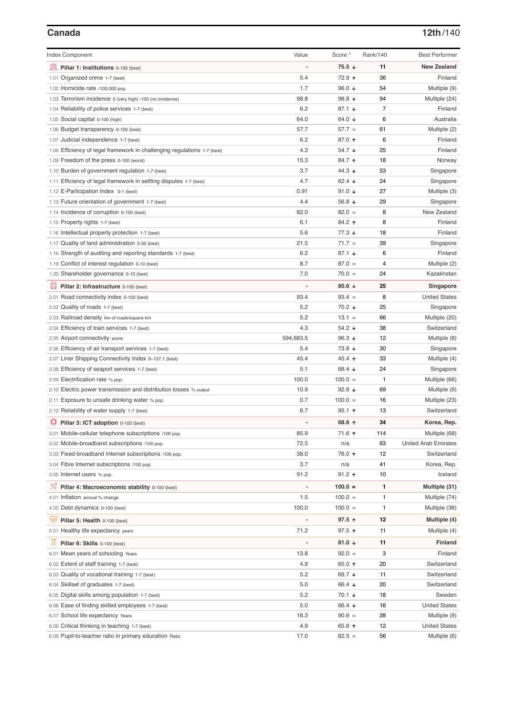| <b>Index Component</b>                                                   | Value                    | Score *              | Rank/140 | <b>Best Performer</b>       |
|--------------------------------------------------------------------------|--------------------------|----------------------|----------|-----------------------------|
| 皿<br>Pillar 1: Institutions 0-100 (best)                                 |                          | $75.5 \downarrow$    | 11       | <b>New Zealand</b>          |
| 1.01 Organized crime 1-7 (best)                                          | 5.4                      | 72.9 ↑               | 36       | Finland                     |
| 1.02 Homicide rate /100,000 pop.                                         | 1.7                      | 96.0 $\sqrt{ }$      | 54       | Multiple (9)                |
| 1.03 Terrorism incidence 0 (very high) -100 (no incidence)               | 98.8                     | 98.8 $\sqrt{ }$      | 94       | Multiple (24)               |
| 1.04 Reliability of police services 1-7 (best)                           | 6.2                      | 87.1 $\sqrt{ }$      | 7        | Finland                     |
| 1.05 Social capital 0-100 (high)                                         | 64.0                     | 64.0 ↓               | 6        | Australia                   |
| 1.06 Budget transparency 0-100 (best)                                    | 57.7                     | $57.7 =$             | 61       | Multiple (2)                |
| 1.07 Judicial independence 1-7 (best)                                    | 6.2                      | 87.0 ↑               | 6        | Finland                     |
| 1.08 Efficiency of legal framework in challenging regulations 1-7 (best) | 4.3                      | 54.7 ↓               | 25       | Finland                     |
| 1.09 Freedom of the press 0-100 (worst)                                  | 15.3                     | 84.7 ↑               | 18       | Norway                      |
| 1.10 Burden of government regulation 1-7 (best)                          | 3.7                      | 44.3 ↓               | 53       | Singapore                   |
| 1.11 Efficiency of legal framework in settling disputes 1-7 (best)       | 4.7                      | 62.4 $\sqrt{ }$      | 24       | Singapore                   |
| 1.12 E-Participation Index 0-1 (best)                                    | 0.91                     | 91.0 $\sqrt{ }$      | 27       | Multiple (3)                |
| 1.13 Future orientation of government 1-7 (best)                         | 4.4                      | 56.8 $\sqrt{ }$      | 29       | Singapore                   |
| 1.14 Incidence of corruption 0-100 (best)                                | 82.0                     | $82.0 =$             | 8        | New Zealand                 |
| 1.15 Property rights 1-7 (best)                                          | 6.1                      | 84.2 ↑               | 8        | Finland                     |
| 1.16 Intellectual property protection 1-7 (best)                         | 5.6                      | $77.3 \; \downarrow$ | 18       | Finland                     |
| 1.17 Quality of land administration 0-30 (best)                          | 21.5                     | $71.7 =$             | 39       | Singapore                   |
| 1.18 Strength of auditing and reporting standards 1-7 (best)             | 6.2                      | 87.1 $\sqrt{ }$      | 6        | Finland                     |
| 1.19 Conflict of interest regulation 0-10 (best)                         | 8.7                      | $87.0 =$             | 4        | Multiple (2)                |
| 1.20 Shareholder governance 0-10 (best)                                  | 7.0                      | $70.0 =$             | 24       | Kazakhstan                  |
|                                                                          |                          |                      |          |                             |
| 曼<br>Pillar 2: Infrastructure 0-100 (best)                               |                          | 80.6 $\sqrt{ }$      | 25       | Singapore                   |
| 2.01 Road connectivity index 0-100 (best)                                | 93.4                     | $93.4 =$             | 8        | <b>United States</b>        |
| 2.02 Quality of roads 1-7 (best)                                         | 5.2                      | $70.2 +$             | 25       | Singapore                   |
| 2.03 Railroad density km of roads/square km                              | 5.2                      | $13.1 =$             | 66       | Multiple (20)               |
| 2.04 Efficiency of train services 1-7 (best)                             | 4.3                      | 54.2 $\sqrt{ }$      | 38       | Switzerland                 |
| 2.05 Airport connectivity score                                          | 594,683.5                | 96.3 $\sqrt{ }$      | 12       | Multiple (8)                |
| 2.06 Efficiency of air transport services 1-7 (best)                     | 5.4                      | 73.8 ↓               | 30       | Singapore                   |
| 2.07 Liner Shipping Connectivity Index 0-157.1 (best)                    | 45.4                     | 45.4 $\uparrow$      | 33       | Multiple (4)                |
| 2.08 Efficiency of seaport services 1-7 (best)                           | 5.1                      | 68.4 $\sqrt{ }$      | 24       | Singapore                   |
| 2.09 Electrification rate % pop.                                         | 100.0                    | $100.0 =$            | 1        | Multiple (66)               |
| 2.10 Electric power transmission and distribution losses % output        | 10.9                     | 92.8 $\sqrt{ }$      | 69       | Multiple (9)                |
| 2.11 Exposure to unsafe drinking water % pop.                            | 0.7                      | $100.0 =$            | 16       | Multiple (23)               |
| 2.12 Reliability of water supply 1-7 (best)                              | 6.7                      | 95.1 $\uparrow$      | 13       | Switzerland                 |
| ₽<br>Pillar 3: ICT adoption 0-100 (best)                                 |                          | 68.6 ↑               | 34       | Korea, Rep.                 |
| 3.01 Mobile-cellular telephone subscriptions /100 pop.                   | 85.9                     | 71.6 ↑               | 114      | Multiple (68)               |
| 3.02 Mobile-broadband subscriptions /100 pop.                            | 72.5                     | n/a                  | 63       | <b>United Arab Emirates</b> |
| 3.03 Fixed-broadband Internet subscriptions /100 pop.                    | 38.0                     | 76.0 ↑               | 12       | Switzerland                 |
| 3.04 Fibre Internet subscriptions /100 pop.                              | 3.7                      | n/a                  | 41       | Korea, Rep.                 |
| 3.05 Internet users % pop.                                               | 91.2                     | $91.2$ ↑             | 10       | Iceland                     |
| <sup>%</sup> Pillar 4: Macroeconomic stability 0-100 (best)              | $\overline{\phantom{0}}$ | $100.0 =$            | 1        | Multiple (31)               |
|                                                                          |                          |                      |          |                             |
| 4.01 Inflation annual % change                                           | 1.5                      | $100.0 =$            | 1        | Multiple (74)               |
| 4.02 Debt dynamics 0-100 (best)                                          | 100.0                    | $100.0 =$            | 1        | Multiple (36)               |
| Ģŷ.<br>Pillar 5: Health 0-100 (best)                                     |                          | 97.5 个               | 12       | Multiple (4)                |
| 5.01 Healthy life expectancy years                                       | 71.2                     | 97.5 个               | 11       | Multiple (4)                |
| 섯<br>Pillar 6: Skills 0-100 (best)                                       |                          | 81.0 $\sqrt{ }$      | 11       | <b>Finland</b>              |
| 6.01 Mean years of schooling Years                                       | 13.8                     | $92.0 =$             | 3        | Finland                     |
| 6.02 Extent of staff training 1-7 (best)                                 | 4.9                      | 65.0 ↑               | 20       | Switzerland                 |
| 6.03 Quality of vocational training 1-7 (best)                           | 5.2                      | 69.7 ↓               | 11       | Switzerland                 |
| 6.04 Skillset of graduates 1-7 (best)                                    | 5.0                      | 66.4 ↓               | 20       | Switzerland                 |
| 6.05 Digital skills among population 1-7 (best)                          | 5.2                      | 70.1 ↓               | 18       | Sweden                      |
| Ease of finding skilled employees 1-7 (best)<br>6.06                     | 5.0                      | 66.4 ↓               | 16       | <b>United States</b>        |
| 6.07 School life expectancy Years                                        | 16.3                     | $90.6 =$             | 28       | Multiple (9)                |
| 6.08 Critical thinking in teaching 1-7 (best)                            | 4.9                      | 65.6 个               | 12       | <b>United States</b>        |
| 6.09 Pupil-to-teacher ratio in primary education Ratio                   | 17.0                     | $82.5 =$             | 56       | Multiple (6)                |